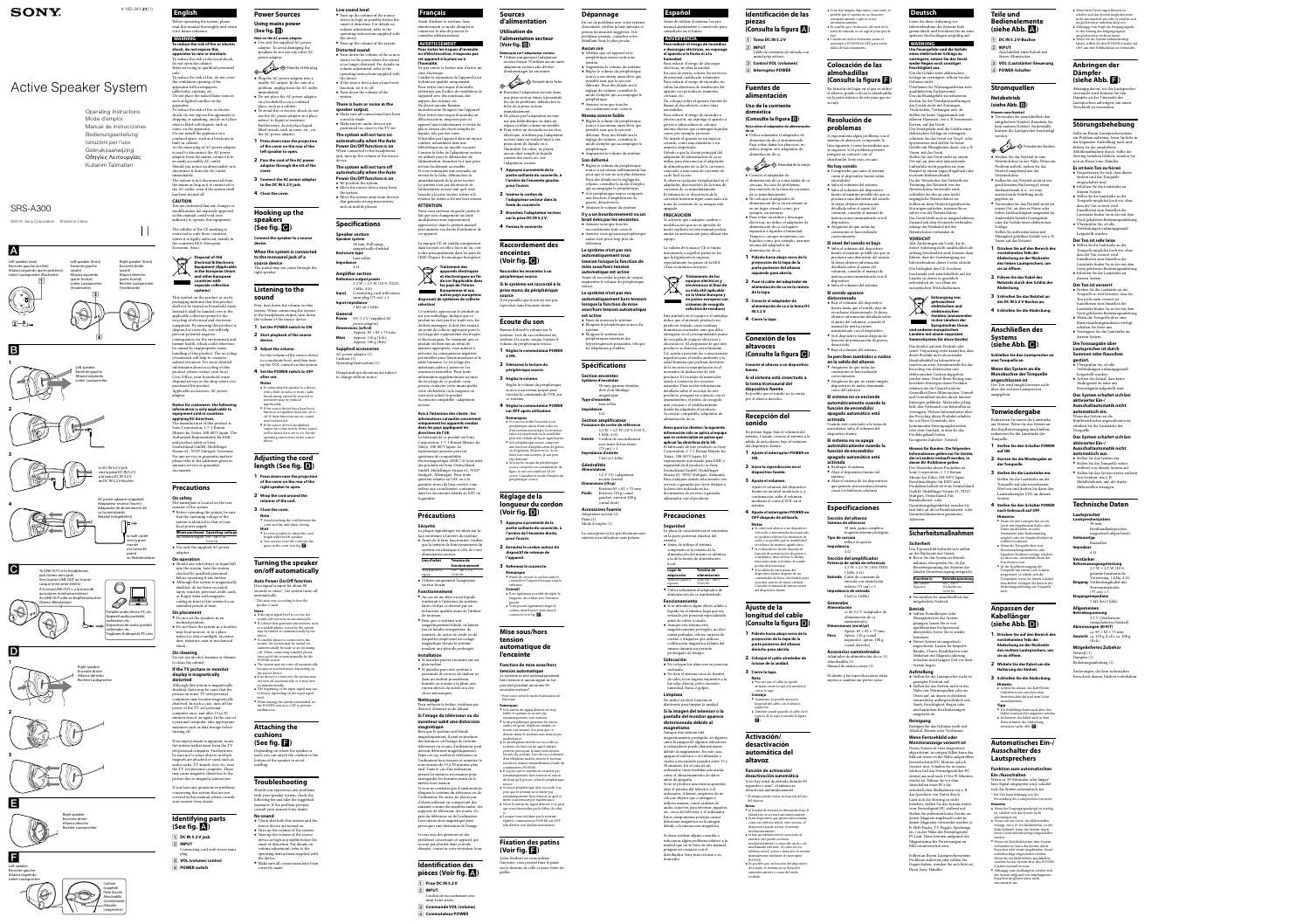# Active Speaker System

# SRS-A300

4-160-341-**21**(1) **English**

Before operating the system, please read this manual thoroughly and retain it for future reference.

**WARNING To reduce the risk of fire or electric shock, do not expose this apparatus to rain or moisture.** o reduce the risk of electrical shoc do not open the cabinet. Refer servicing to qualified personnel only. To reduce the risk of fire, do not cover the ventilation opening of the

shock, do not expose this apparatus to dripping or splashing, and do not place objects filled with liquids, such as vases, on the apparatus. Do not install the appliance in a confined space, such as a bookcase or

built-in cabine As the main plug of AC power adaptor is used to disconnect the AC power adaptor from the mains, connect it to an easily accessible AC outlet. Should you notice an abnormality in it, disconnect it from the AC outlet

apparatus with newspapers, ablecloths, curtains, etc. Do not place the naked flame sources such as lighted candles on the apparatus. To reduce the risk of fire or electric

nmediately The system is not disconnected from the mains as long as it is connected to the AC outlet, even if the system itself has been turned off.

**CAUTION** You are cautioned that any changes or modifications not expressly approved in this manual could void your authority to operate this equipment.

**On safety** The nameplate is located on the rear

The validity of the CE marking is restricted to only those countries where it is legally enforced, mainly in he countries EEA (European Economic Area).



This symbol on the product or on its packaging indicates that this product hall not be treated as household wast instead it shall be handed over to the applicable collection point for the recycling of electrical and electronic equipment. By ensuring this product i disposed of correctly, you will help prevent potential negative ences for the environment and human health, which could otherwise be caused by inappropriate waste handling of this product. The recycling of materials will help to conserve natural resources. For more detaile information about recycling of this product, please contact your local Civic Office, your household waste disposal service or the shop where you purchased the product. Applicable accessories: AC power

 $\boxed{2}$  input Connecting cord with stereo mini plug

adaptor **Notice for customers: the following information is only applicable to** 

 $\leftrightarrow$  Polarity of the plug Plug the AC power adaptor into a

**equipment sold in countries applying EU directives.** he manufacturer of this product is Sony Corporation, 1-7-1 Konan Minato-ku Tokyo, 108-0075 Japan. The Authorized Representative for EMC and product safety is Sony Deutschland GmbH, Hedelfing Strasse 61, 70327 Stuttgart, Germ For any service or guarantee matters please refer to the addresses given in separate service or guarantee

documents.

## **Precautions**

First, turn down the volume on this system. When connecting the system to the headphones output, turn down the volume of the source device.

exterior of the system. • Before operating the system, be sure that the operating voltage of the system is identical to that of your local power supply. **Where purchased Operating voltage**

All countries/regions 100 – 240 V AC, 50/60 Hz Use only the supplied AC power adaptor.

**On operation** Should any solid object or liquid fall into the system, have the system checked by qualified personnel before operating it any further.

**length (See fig. ) 1** Press down near the projection

- **of the cover on the rear of the right speaker to open.**
- **2 Wrap the cord around the retainer of the unit.**
- **3 Close the cover.**
- **Note** Avoid pinching the cord between the cover and the unit when closing. **Hint**<br>• It is also possible to adjust the cord length with the left speaker. You can also store the cord into the space in the cover (see fig.  $\blacksquare$ ).

 Although this system is magnetically shielded, do not leave recorded tapes, watches, personal credit cards, or floppy disks with magnetic coding in front of the system for an extended period of time.

**On placement** Do not set the speakers in an

inclined position. Do not leave the system in a location near heat sources, or in a place subject to direct sunlight, excessi dust, moisture, rain or mechanica shock.

**On cleaning** Do not use alcohol, benzine or thinner to clean the cabinet.

#### **If the TV picture or monitor display is magnetically**

**distorted** Although this system is magnetically hielded, there may be cases that the picture on some TV sets/personal uters may become magnetical distorted. In such a case, turn off the power of the TV set/personal computer once, and after 15 to 30 minutes turn it on again. In the case of a personal computer, take appropriate

- **Notes**<br>• If the input signal level is too low, the system will not turn on automatically.  $\bullet$  If a device that generates microwaves, suc
- as a mobile phone, is nearby, the system ay be turned on unintentionally by the
- device. If a mobile phone is connected to the system, the system may be turned on intentionally by noise or an incon
- call. When connecting a mobile phone turn on/off the system manually by the POWER switch.
- $\bullet$  The system may not turn off automatically because of received noise, depending on the source device.
- $\bullet$  If no device is connected, the system ma not turn off automatically, or it may turn
- on unintentionally. • The beginning of the input signal may no be heard, depending on the input signal
- level. When leaving the system unattended, set the POWER switch to OFF to preven malfunction.

measures such as data storage before

Should you experience any problem with your speaker system, check the following list and take the suggested measures. If the problem persis consult your nearest Sony dealer.

• Turn up the volume of the system. • Turn up the volume of the source device as high as possible before th onset of distortion. For details on volume adjustment, refer to the operating instructions supplied with

turning off. If no improvement is apparent, locate the system farther away from the TV set/personal computer. Furthermor be sure not to place objects in which magnets are attached or used, such as audio racks, TV stands, toys, etc, near the TV set/personal computer. These may cause magnetic distortion to the

picture due to magnetic interaction. If you have any questions or problems concerning this system that are not covered in this manual, please consult your nearest Sony dealer.

## **Identifying parts (See fig. )**

**DC IN 5.2 V jack**

 **VOL (volume) control POWER switch**

**Power Sources Using mains power (See fig. )**

- Re-position the system. Move the source device away from the system.
- Move the system away from devices that generate strong microwave such as mobile phones.

**Note on the AC power adaptor** Use only the supplied AC power adaptor. To avoid damaging the speakers do not use any other AC power adaptor.

> **Speaker section Speaker system**  38 mm, Full range, magnetically shielded **Enclosure type**  bass reflex **Impedance**   $4 \Omega$

> > 1 kHz,  $4 Ω$ )

**Power** DC 5.2 V (supplied AC power adaptor)

- nearby AC output. In the case of a problem, unplug from the AC outlet immediately.  $\bullet$  Do not place the AC power adapto
- on a bookshelf or in a confined place, such as a cabinet. To avoid fire or electric shock do not use the AC power adaptor in a place subject to liquid or moisture. Furthermore, do not place liquidfilled vessels, such as vases, etc., on
- the AC power adaptor. **1 Press down near the projection of the cover on the rear of the left speaker to open.**
- **2 Pass the cord of the AC power adaptor through the slit of the**
- **cover. 3** Connect the AC power adaptor **to the DC IN 5.2 V jack.**
- **4 Close the cover.**

**Hooking up the speakers** 

echnicien qualifié uniqueme Pour éviter tout risque d'incendie, n'obstruez pas l'orifice de ventilation de l'appareil avec des journaux, des nappes, des rideaux, etc. Ne placez aucune flamme ncandescente (bougies) sur l'appare Pour éviter tout risque d'incendie ou d'électrocution, n'exposez pas cet appareil aux éclaboussures et évitez de placer dessus des objets remplis de liquide, tels que des vases.

N'installez pas l'appareil dans un espace confiné, notamment dans une bibliothèque ou un meuble encastré. Comme la fiche de l'adaptateur secteur est utilisée pour le débrancher de l'alimentation, branchez-la à une prise secteur facilement accessible. Si vous remarquez une anomalie au niveau de la fiche, débranchez-la immédiatement de la prise secteur. Le système n'est pas déconnecté de l'alimentation secteur tant qu'il reste branché à la prise secteur, même si le système lui-même a été mis hors tension

**(See fig. ) Connect the speaker to a source** 

**device. When the system is connected to the monaural jack of a** 

**source device**

The sound may not come through the right speaker.

#### **Listening to the sound**

**appareils électriques et électroniques en fin de vie (Applicable dans les pays de l'Union Européenne et aux**  autres pays européen

Traitement des

- **1 Set the POWER switch to ON. 2 Start playback of the source**
- **device. 3 Adjust the volume.**
- Set the volume of the source device to a moderate level, and then turn up the VOL control on this system.
- **4 Set the POWER switch to OFF after use. Notes**  $\bullet$  If connecting the speaker to a device with a built-in radio or tuner, radio broadcasting cannot be received or
- sensitivity may be reduced significantly. If the source device has a bass boost function or equalizer function, set to off. If these functions are on, sound may be distorted.
- If the source device's headphone output has a line switch, better soun will be heard if it is set to on. See the operating instructions of the source device.

# **Adjusting the cord**

## **Turning the speaker on/off automatically**

**Auto Power On/Off function** If no signal is input for about 90 seconds or more<sup>\*</sup>, the system turns of automatically. \* This may vary according to how the speaker is used.

> $\bullet$  N'installez pas votre système a proximité de sources de chaleur ni dans un endroit poussiéreux, humide ou soumis à la pluie, aux rayons directs du soleil ou à des

Cordon de raccordement ave mini-fiche stéréo **Commande VOL (volume) Commutateur POWER**

## Polarité de la fiche Branchez l'adaptateur secteur dans

## **Attaching the cushions**

# **(See fig. )**

Depending on where the speaker is used, you can attach the cushion to the bottom of the speaker to avoid scuffing.

## **Troubleshooting**

**No sound** Check that both this system and the source device are turned on.

the device. • Make sure all connections have been correctly made.

**Low sound level** Turn up the volume of the source device as high as possible before the onset of distortion. For details on volume adjustment, refer to the

> un syntoniseur intégré, la réception radio est inopérante ou la sensibilité ut être réduite de façon significativ Si le périphérique source comporte e fonction d'amplificateur de graves ou d'égaliseur, désactivez-la. Si ces ttions sont activées, le son peut être déformé. Si la sortie casque du périphérique source comporte un commutateur de

the device.

- the device. If the source device has a bass boost function, set it to off. Turn down the volume of the
- system. **There is hum or noise in the speaker output.**

**Fonction de mise sous/hor tension automatique** Le système se met automatiquement hors tension si aucun signal ne lui parvient pendant au moins 90 secondes environ\*.

 Make sure all connections have been correctly made. Make sure no audio devices are

### $^\star$  Peut varier selon le mode d'utilisation d l'enceinte. **Remarques**

 Si le niveau du signal d'entrée est trop faible, le système ne se met pas automatiquement sous tension. Si un périphérique générant des microondes, tel qu'un téléphone mobile, se trouve à proximité, il se peut que ce dernier mette le système sous tension pa

inadvertance. Si un téléphone mobile est raccordé au système, du bruit ou un appel entrant peuvent provoquer la mise sous tension .<br>fortuite du système. Lors du raccordemen d'un téléphone mobile, mettez le systèn

positioned too close to the TV set. **The system will not turn on automatically when the Auto Power On/Off function is on** When connected to the headphon jack, turn up the volume of the source device.

> sous/hors tension manuellement à l'aide du commutateur POWER. Il se peut que le système ne se mette pas atiquement hors tension en raiso

**The system will not turn off automatically when the Auto Power On/Off function is on**

> du bruit qu'il perçoit, selon le périphérique source. Si aucun périphérique n'est raccordé, il se peut que le système ne se mette pas automatiquement hors tension ou qu'il se

operating instructions supplied with Turn up the volume of the system. **Distorted sound** conservez-le afin de pouvoir le consulter ultérieuremen **AVERTISSEMENT Pour éviter les risques d'incendie** 

# **Specifications**

 Turn down the volume of the source device to the point where the sound is no longer distorted. For details on volume adjustment, refer to the operating instructions supplied with **ou d'électrocution, n'exposez pas cet appareil à la pluie ou à l'humidité.** Ne pas ouvrir le boîtier afin d'éviter un choc électrique. Confier la réparation de l'appareil à un

**Amplifier section Reference output power**

2.5 W + 2.5 W (10 % T.H.D.,

**Connecting cord with stereo** mini plug (75 cm)  $\times$  1

Approx.  $85\times 82\times 75$  mm

**Input impedance** 

5 kΩ (at 1 kHz)

**General**

**Dimensions (w/h/d)** 

**Mass** Approx. 110 g (Lch), Approx. 100 g (Rch)

**Supplied accessories** AC power adaptor (1) Cushion (1)

Operating Instructions (1)

Design and specifications are subject to change without notice.



Operating Instructions Mode d'emploi Manual de instrucciones Bedienungsanleitung Istruzioni per l'uso Gebruiksaanwijzing Oδηγίες Λειτoυργίας Kullanim Talimatlari

> Abaissez le volume du systèm **Il y a un bourdonnement ou un bruit émis par les enceintes.**

**Français**

Avant d'utiliser le système, lisez attentivement ce mode d'emploi et

> Environ  $85 \times 82 \times 75$  mm **Environ 110 g (can** gauche), environ 100 g (canal droit) **Accessoires fournis** Adaptateur secteur (1)

armario empotrado. Debido a que la clavija principal del adaptador de alimentación de ca se utiliza para desconectar el adaptador de alimentación de ca de la corriente

**ATTENTION**

Nous vous mettons en garde contre le fait que tout changement ou toute modification non expressément approuvé(e) dans le présent manuel peut annuler vos droits d'utilisation de

cet appareil.

La marque CE est valable uniquement dans les pays où elle a force de loi, c'està-dire principalement dans les pays de l'EEE (Espace Economique Européen).

**disposant de systèmes de collecte** 

**sélective)**

Ce symbole, apposé sur le produit ou sur son emballage, indique que ce produit ne doit pas être traité avec les déchets ménagers. Il doit être remis à un point de collecte approprié pour le recyclage des équipements électrique et électroniques. En s'assurant que o produit est bien mis au rebut de manière appropriée, vous aiderez à prévenir les conséquences négatives potentielles pour l'environnement et l santé humaine. Le recyclage des matériaux aidera à préserver le ressources naturelles. Pour toute information supplémentaire au sujet du recyclage de ce produit, vous pouvez contacter votre municipalit votre déchetterie ou le magasin où vous avez acheté le produit. Accessoire compatible : adaptateur

secteur

**Avis à l'intention des clients : les informations suivantes concer uniquement les appareils vendus dans les pays appliquant les directives de l'UE.** 

Le fabricant de ce produit est Sony Corporation, 1-7-1 Konan Minato-ku

Tokyo, 108-0075 Japon. Le représentant autorisé pour les questions de compatibilité électromagnétique (EMC) et la sécurit des produits est Sony Deutschland GmbH, Hedelfinger Strasse 61, 70327 Stuttgart, Allemagne. Pour toute question relative au SAV ou à la garantie, merci de bien vouloir vous référer aux coordonnées contenues dans les documents relatifs au SAV ou

> ordenador, tome medidas adecuada como el almacenamiento de datos antes de apagarla. Si no se produce una mejora aparent aleje el sistema del televisor o el

la garantie.

**Précautions**

**Sécurité**

La plaque signalétique est située sur la ace extérieure à l'arrière du système. Avant de le faire fonctionner, vérifiez que la tension de fonctionnement du système est identique à celle de votre

- $\overline{1}$  Toma DC IN 5.2 V
- Cable de conexión de entrada con miniclavija estéreo **Control VOL (volumen)**
- **Interruptor POWER**

alimentation secteur. **Lieu d'achat Tension de** 

**fonctionnement**

région

Tous pays et/ou 100 – 240 V CA,

Para evitar dañar los altavoces, no utilice ningún otro adaptador de alimentación de ca.

50/60 Hz

Utilisez uniquement l'adaptateur

## Polaridad de la clavija Conecte el adaptador de

secteur fourni. **Fonctionnement**

 Au cas où un objet ou un liquide tomberait à l'intérieur du systèm faites vérifier ce dernier par un technicien qualifié avant de l'utiliser

de nouveau. Bien que ce système soit magnétiquement blindé, ne laissez pas de bandes enregistrées, de montres, de cartes de crédit ou de disquettes employant un codage magnétique devant le système pendant une période prolongée.

**Installation**

N'installez pas les enceintes sur un

plan incliné.

chocs mécaniques. **Nettoyage**

Pour nettoyer le boîtier, n'utilisez pas d'alcool, d'essence ni de diluant. **Si l'image du téléviseur ou du moniteur subit une distorsion** 

**magnétique**

Bien que le système soit blindé magnétiquement, il peut se produire des instances où l'image de certains téléviseurs ou écrans d'ordinateur peu devenir déformée magnétiquement. Dans ces cas, mettez le téléviseur ou l'ordinateur hors tension et remettez-l sous tension de 15 à 30 minutes plus tard. Dans le cas d'un ordinateur, prenez les mesures nécessaires pour sauvegarder les données avant de le

 Asimismo, es posible ajustar la longitud del cable con el altavo

mettre hors tension.

Si vous ne constatez pas d'amélioration, éloignez le système du téléviseur ou de l'ordinateur. En outre, ne placez pas d'objets utilisant ou comportant des aimants comme des meubles audio, de supports de téléviseur, des jouets, etc. près du téléviseur ou de l'ordinateur. Leur interaction magnétique peu provoquer une distorsion de l'image Si vous avez des questions ou des problèmes concernant cet appareil, qui ne sont pas abordés dans ce mode d'emploi, contactez votre revendeur Sony.

 Si hay un teléfono móvil conectado al sistema, este puede activarse involuntariamente a causa del ruido o de na llamada entrante. Al conectar un teléfono móvil, active o desactive el sisten anualmente mediante el interrupto

 $\bullet$  Es posible que, en función del dispositiv de sonido, el sistema no se desactive utomáticamente a causa del ruido

**Identification des pièces (Voir fig. )**

**Prise DC IN 5.2 V**

**INPUT**

#### **Sources d'alimentation**

# **Utilisation de**

#### **l'alimentation secteur (Voir fig. ) Remarque sur l'adaptateur secteur**

 Utilisez uniquement l'adaptateur secteur fourni. N'utilisez aucun autre adaptateur secteur afin d'éviter d'endommager les enceintes.

> Compruebe que tanto el sistema como el dispositivo fuente están

une prise secteur située à proximité. En cas de problème, débranchez la fiche de la prise secteur immédiatement.

 Ne placez pas l'adaptateur secteur sur une bibliothèque ou dans un espace confiné comme un meuble. • Pour éviter un incendie ou un cho électrique, n'utilisez pas l'adaptate secteur dans un endroit sujet à des projections de liquide ou à l'humidité. En outre, ne placez aucun objet rempli de liquide

comme des vases, etc. sur l'adaptateur secteur. **1 Appuyez à proximité de la partie saillante du couvercle, à l'arrière de l'enceinte gauche,** 

> Asegúrese de que no existe ningún dispositivos de audio demasiado

**pour l'ouvrir. 2 Insérez le cordon de l'adaptateur secteur dans la fente du couvercle.**

**3 Branchez l'adaptateur secteur sur la prise DC IN 5.2 V.**

# **4 Fermez le couvercle.**

## **Raccordement des enceintes (Voir fig. )**

**Raccordez les enceintes à un périphérique source.**

> 38 mm, gama completa, magnéticamente protegido

entrada con miniclavija estéreo (75 cm)  $\times$  1

**Impedancia**  $4 \Omega$ **Sección del amplificador Potencia de salida de referencia**  $2,5 W + 2,5 W (10\% THD)$  $kHz$ , 4  $\Omega$ ) **Entrada** Cable de conexión d

**Si le système est raccordé à la prise mono du périphérique source** Il est possible que le son ne soit pas

reproduit dans l'enceinte droite.

# **Écoute du son**

Baissez d'abord le volume sur le système. Lors du raccordement du système à la sortie casque, baissez le volume du périphérique source. **1 Réglez le commutateur POWER** 

**Deutsch** Lesen Sie diese Anleitung vor Inbetriebnahme des Systems bitte genau durch und bewahren Sie sie zum eren Nachschlagen sorgfältig auf

- **à ON. 2 Démarrez la lecture du**
- **périphérique source.**
- **3 Réglez le volume.** Réglez le volume du périphérique

source à un niveau moyen puis tournez la commande de VOL sur ce système. **4 Réglez le commutateur POWER**  **Um Feuergefahr und die Gefal eines elektrischen Schlags zu**  verringern, setzen Sie das Gerä **weder Regen noch sonstiger** 

#### **sur OFF après utilisation. Remarques**  $\bullet\,$  Si vous raccordez l'enceinte à un périphérique muni d'une radio ou

ligne, le son sera amélioré s'il est activé. Consultez le mode d'emploi du périphérique source.

## **Réglage de la longueur du cordon (Voir fig. )**

**1 Appuyez à proximité de la partie saillante du couvercle, à l'arrière de l'enceinte droite, pour l'ouvrir.**

**2 Enroulez le cordon autour du dispositif de retenue de l'appareil.**

**3 Refermez le couvercle. Remarque**

 Evitez de coincer le cordon entre le couvercle et l'appareil lorsque vous le refermez. **Conseil**

 $\bullet$  Il est également possible de régler l longueur du cordon avec l'enceinte gauche.  $\bullet$  Vous pouvez également ranger l cordon dans l'espace situé dans le couvercle (voir fig.  $\blacksquare$ ).

# **Mise sous/hors tension**

**automatique de l'enceinte**

 $100 - 240$ Wechselstrom, 50/60 Hz

• Sollten Fremdkörper ode Flüssigkeiten in das System gelangen, lassen Sie es von ualifiziertem Fachpersonal überprüfen, bevor Sie es wieder

Reinigen Sie das Gehäuse nicht mit Alkohol, Benzin oder Verdünner. **Wenn Fernsehbild oder Monitoranzeige verzerrt ist** Dieses System ist zwar magnetisch abgeschirmt, in einigen Fällen kann da Bild auf einem in der Nähe aufgestellte Fernsehschirm/PC-Monitor jedoch verzerrt sein. Schalten Sie in einem solchen Fall das Fernsehgerät/den PC einmal aus und nach 15 bis 30 Minuten wieder an. Führen Sie vor dem Ausschalten eines PCs die erforderlichen Maßnahmen wie z. B. das Speichern von Daten durch. Lässt sich die Störung so nicht beheben, stellen Sie das System weiter vom Fernsehgerät/PC entfernt auf. Stellen Sie außerdem keine Geräte, an denen Magnete angebracht oder in denen Magneten verwendet werden (z. B. HiFi-Racks, TV-Regale, Spielzeuge etc.) in der Nähe des Fernsehgeräts PCs auf. Diese können aufgrund des agnetismus für Verzerrungen im

mette sous tension par inadvertance. Selon le niveau du signal d'entrée, il se peut que vous n'entendiez pas le début de celuici. Lorsque vous n'utilisez pas le système,

réglez le commutateur POWER sur OFF afin d'éviter tout dysfonctionnement.

## **Fixation des patins (Voir fig. )** Selon l'endroit où vous utilisez

l'enceinte, vous pouvez fixer le patin sur le dessous de celle-ci pour éviter de griffer.

#### **Dépannage** En cas de problème avec votre système

d'enceintes, vérifiez la liste suivante et prenez les mesures suggérées. Si le problème persiste, consultez votre détaillant Sony le plus proche.

**Aucun son** Vérifiez que cet appareil et le périphérique source sont sous tension.

 Augmentez le volume du système. Réglez le volume du périphérique source à un niveau aussi élevé qu possible sans que le son soit déformé. Pour des détails sur le réglage du volume, consultez le mode d'emploi qui accompagne le périphérique.

#### Assurez-vous que tous les raccordements sont corrects.

Reduzieren Sie zuerst die Lautstärk am System. Wenn Sie das System an den Kopfhörerausgang anschließen, reduzieren Sie die Lautstärke der Tonquelle.

**Niveau sonore faible** Réglez le volume du périphérique source à un niveau aussi élevé que possible sans que le son soit déformé. Pour des détails sur le réglage du volume, consultez le mode d'emploi qui accompagne le périphérique. Augmentez le volume du système.

#### **2** Starten Sie die Wiedergabe a **der Tonquelle.**

# **Son déformé**

 Réglez le volume du périphérique source à un niveau suffisamment ba pour que le son ne soit plus déformé. Pour des détails sur le réglage du volume, consultez le mode d'emploi qui accompagne le périphérique. • Si le périphérique source comport une fonction d'amplificateur de graves, désactivez-la.

- **1 Drücken Sie auf den Bereich des vorstehenden Teils der Abdeckung an der Rückseite des rechten Lautsprechers, um sie zu öffnen.**
- **2 Wickeln Sie das Kabel um die Halterung der Einheit.**
- **3 Schließen Sie die Abdeckung. Hinweis** Achten Sie darauf, das Kabel beim Schließen nicht zwischen dem
- Batteriefachdeckel und dem Gerät einzuklemmen. **Tipp** Die Kabellänge kann auch über den
- linken Lautsprecher angepasst werden. Sie können das Kabel auch in dem Bereich hinter der Ab verstauen (siehe Abb.  $\Box$ ).

 Assurez-vous que tous les raccordements sont corrects. Assurez-vous qu'aucun périphérique audio n'est placé trop près du

#### téléviseur. **Le système n'est pas mis automatiquement sous tension lorsque la fonction de**

Wenn ca. 90 Sekunden oder länger\* kein Signal eingespeist wird, schalte sich das System automatisch aus. \* Die Zeit kann abhängig von der Verwendung des Lautsprechers variieren.

**mise sous/hors tension automatique est active** Avant de raccorder la prise de casque, augmentez le volume du périphérique source.

#### **Le système n'est pas mis automatiquement hors tension lorsque la fonction de mise sous/hors tension automatique**

**est active** Fixez de nouveau le système. Éloignez le périphérique source du système. Éloignez le système des périphériques émettant des hyperfréquences puissantes, tels que

les téléphones portables.

# **Spécifications**

**Section enceintes Système d'enceintes** 38 mm, gamme étendue, doté d'un blindage magnétique **Type d'enceinte** bass reflex **Impédance** 4 Ω **Section amplificateur Puissance de sortie de référer**  $2,5 W + 2,5 W (10 % D.H.T.)$ 1 kHz,  $4 \Omega$ ) **Entrée** Cordon de raccordement avec mini-fiches stéréo  $(75 \text{ cm}) \times 1$ **Impédance d'entré** 5 kΩ (à 1 kHz) **Généralités Alimentation** 5,2 V CC (adaptateu secteur fourni) **Dimensions (l/h/p)**

Patin (1) Mode d'emploi (1) La conception et les spécifications sont sujettes à modification sans préavis.

**Español**

### Antes de utilizar el sistema, lea este manual atentamente y consérvelo para consultarlo en el futuro.

**humedad.**

eléctricas, no abra la unidad. En caso de avería, solicite los servicios de personal cualificado solamente. Para reducir el riesgo de incendio, no cubra las aberturas de ventilación del aparato con periódicos, manteles,

- Verbindungen ordnungsgemä hergestellt wurden. • Achten Sie darauf, dass keine Audiogeräte zu nahe am
- Fernsehgerät aufgestellt sind. **Das System schaltet sich bei aktivierter Ein-/ Ausschaltautomatik nicht automatisch ein.** Wenn das System an die
- Kopfhörerbuchse angeschlossen ist erhöhen Sie die Lautstärke der Tonquelle. **Das System schaltet sich bei**

#### **aktivierter Ein-/ Ausschaltautomatik nicht automatisch aus.** • Stellen Sie das System um

cortinas, etc. No coloque sobre el aparato fuentes de llamas al descubierto, como velas encendidas. Para reducir el riesgo de incendio o

> • Stellen Sie die Tonquelle weite entfernt von diesem System auf. • Stellen Sie das System weiter entfern von Geräten, wie z. B. Mobiltelefonen, auf, die starke

- 38 mm, Breitbandlautspreche magnetisch abgeschirmt **Gehäusetyp**
- Bassreflex **Impedanz** 4 Ω
- **Verstärker**
- **Referenzausgangs**  $2,5 W + 2,5 W (10)$ gesamte harmonische Verzerrung, 1 kHz, 4 Ω)
- **Eingang** Verbindungskabel mit **Stereoministecker**  $(75 \text{ cm}) \times 1$

electrocución, no exponga el aparato a goteos o salpicaduras ni coloque encima objetos que contengan líquidos como, por ejemplo, jarrones. No instale el aparato en un espacio cerrado, como una estantería o un

- **Betriebsspannung** 5,2 V Gleichstrom (mitgeliefertes Netzteil) **Abmessungen (B/H/T)** ca.  $85 \times 82 \times 75$  mm **Gewicht** ca. 110 g (Lch), ca. 100 g
- (Rch) **Mitgeliefertes Zubehör** Netzteil (1)
- Dämpfer (1) Bedienungsanleitung (1)
- Änderungen, die dem technischen Fortschritt dienen, bleiben vorbehalten

conéctelo a una toma de corriente de ca de fácil acceso. Si observa cualquier irregularidad en el adaptador, desconéctelo de la toma de corriente de ca inmediatamente.

El sistema no se desconecta de la corriente mientras sigue conectado a la toma de corriente de ca, aunque esté apagado. **PRECAUCIÓN** Se advierte que cualquier cambio o modificación que no se apruebe de

to wall outl vers la prise murale a la toma de modo explícito en este manual podría anular su autorización para utilizar este equipo. La validez de la marca CE se limita únicamente a aquellos países en los que la legislación la impone,

especialmente los países de la EEA (Área económica europea). **Tratamiento de los** 



**selectiva de residuos)** Este símbolo en el equipo o el embalaje indica que el presente producto no puede ser tratado como residuos domésticos normales, sino que deb entregarse en el correspondiente pun de recogida de equipos eléctricos y electrónicos. Al asegurarse de que este producto se desecha correctamente, Ud. ayuda a prevenir las consecuencia negativas para el medio ambiente y la salud humana que podrían derivarse de la incorrecta manipulación en e momento de deshacerse de este producto. El reciclaje de materiales ayuda a conservar los recursos naturales. Para recibir información detallada sobre el reciclaje de este producto, póngase en contacto con el ayuntamiento, el punto de recogida más cercano o el establecimiento donde ha adquirido el producto.

Accesorio compatible: adaptador de

**ADVERTENCIA Para reducir el riesgo de incendios o descargas eléctricas, no exponga el aparato a la lluvia ni a la**  Para reducir el riesgo de descargas **INPUT**

alimentación de ca **Aviso para los clientes: la siguiente información sólo se aplica al equipo que se comercializa en países que aplican las directivas de la UE.** .<br>El fabricante de este producto es Son Corporation, 1-7-1 Konan Minato-ku Tokyo, 108-0075 Japón. El representante autorizado para EMC y seguridad en el producto es Sony Deutschland GmbH, Hedelfinge Strasse 61, 70327 Stuttgart, Alemania.

Para cualquier asunto relacionado con servicio o garantía por favor diríjase la dirección indicada en los entos de servicio o ga adjuntados con el producto.

# **Precauciones**

**Seguridad** La placa de características se encuentra en la parte posterior exterior del sistema. Antes de utilizar el sistema compruebe si la tensión de la

alimentación del mismo es idéntica a la de la fuente de alimentación local. **Lugar de adquisición Tensión de alimentación**

Todos los países y ca de 100 – 240 V, regiones 50/60 Hz Utilice solamente el adaptador de alimentación de ca suministrado. **Funcionamiento**

- Si se introduce algún objeto sólido o líquido en el sistema, haga que sea revisado por personal especializado antes de volver a usarlo. Aunque este sistema está
- magnéticamente protegido, no dej cintas grabadas, relojes, tarjetas de crédito o disquetes que utilicen codificación magnética delante del mismo durante un periodo
- prolongado de tiempo. **Colocación**
- No coloque los altavoces en posición inclinada. No deje el sistema cerca de fuentes de calor, ni en lugares expuestos a la luz solar directa, polvo excesivo, humedad, lluvia o golpes. **Limpieza**

No utilice alcohol, bencina ni disolvente para limpiar la unidad. **Si la imagen del televisor o la pantalla del monitor aparece** 

#### **distorsionada debido al magnetismo** Aunque este sistema está

magnéticamente protegido, en algunos casos la imagen de algunos televisores u ordenadores puede distorsionars debido al magnetismo. En este caso, apague el televisor o el ordenador y vuelva a encenderlo pasados entre 15 30 minutos. En el caso de un

ordenador. Además, asegúrese de no colocar objetos que contengan o utilicen imanes, como cadenas de audio, soportes para televisor, juguet etc. cerca del televisor o el ordenador.

Estos componentes podrían causar distorsión magnética en la imagen debido a la interacción magnética. Si desea realizar alguna consulta o solucionar algún problema relativo a la

unidad que no se trate en este manual, póngase en contacto con el distribuidor Sony más cercano a su domicilio.

**Identificación de las piezas (Consulte la figura )**

### **Fuentes de alimentación**

#### **Uso de la corriente doméstica (Consulte la figura )**

#### **Nota sobre el adaptador de alimentación de ca** Utilice solamente el adaptador de alimentación de ca suministrado.

alimentación de ca a una salida de ca cercana. En caso de problemas, lesconéctelo de la toma de corrient de ca inmediatament No coloque el adaptador de alimentación de ca en un estante ni en un lugar cerrado como, por

ejemplo, un armario. Para evitar incendios y descarga eléctricas, no utilice el adaptador de alimentación de ca en lugares expuestos a líquidos o humedad. Tampoco coloque recipientes con líquidos como, por ejemplo, jarrones encima del adaptador de alimentación de ca.

**1 Púlselo hacia abajo cerca de la proyección de la tapa de la parte posterior del altavoz izquierdo para abrirla. 2 Pase el cable del adaptador de alimentación de ca en la ranura** 

**de la tapa.**

**3 Conecte el adaptador de alimentación de ca a la toma DC** 



**IN 5.2 V. 4 Cierre la tapa.**

**Conexión de los** 

**altavoces** 

**(Consulte la figura ) Conecte el altavoz a un dispositivo** 

**fuente.**

**Si el sistema está conectado a la toma monoaural del dispositivo fuente** Es posible que el sonido no se emita

por el altavoz derecho.

**Recepción del** 

**sonido**

En primer lugar, baje el volumen del sistema. Cuando conecte el sistema a l salida de auriculares, baje el volumen

del dispositivo fuente.



**1 Ajuste el interruptor POWER en** 

**ON.**

**2 Inicie la reproducción en el dispositivo fuente. 3 Ajuste el volumen.**

> Ajuste el volumen del dispositivo fuente en un nivel moderado y, a uación, suba el v mediante el control VOL en el

sistema.

**4 Ajuste el interruptor POWER en OFF después de utilizarlo.**

**Notas**

 Si conecta el altavoz a un dispositivo con radio o sintonizador incorporad no podrán recibirse las emisiones de radio o es posible que la sensibilida se reduzca de manera significativa. Si el dispositivo fuente dispone de  $function$  de potenciación de graves ecualizador, desactívelas. Si dichas funciones están activadas, el sonido podría distorsionarse. Si la salida de auriculares del dispositivo fuente dispone de un conmutador de línea, enciéndalo para escuchar sonido de mejor calidad. Consulte el manual de instruccione del dispositivo fuente.

**Ajuste de la** 

**longitud del cable (Consulte la figura ) 1 Púlselo hacia abajo cerca de la proyección de la tapa de la parte posterior del altavoz derecho para abrirla. 2** Coloque el cable alrededor d **la base de la unidad.**

**3 Cierre la tapa. Nota**

 Procure que el cable no quede atrapado entre la tapa y la unidad al

cerrar la tapa. **Consejo**

izquierdo.

También puede guardar el cable en el espacio de la tapa (consulte la figura ).

**Activación/ desactivación automática del** 

**altavoz**

**Función de activación/ desactivación automática** Si no hay señal de entrada durante 90 segundos o más\*, el sistema se desactivará automáticamente. \* El tiempo puede variar en función del uso

del altavoz. **Notas**

 Si la señal de entrada es demasiado baja, el stema no se activará automáticamen Si un dispositivo que genera microondas, como un teléfono móvil, está cercano, dispositivo puede activar el sistema

involuntariamente.

POWER.

recibido.

 Si no hay ningún dispositivo conectado, es posible que el sistema no se desactive tomáticamente o que se active involuntariamente. Es posible que, en función del nivel de la señal de entrada, no se oiga el principio de ésta. Cuando no utilice el sistema, ajuste el interruptor POWER en OFF para evitar fallos de funcionamiento.

**Colocación de las almohadillas** 

**(Consulte la figura )** En función del lugar en el que se utilice el altavoz, puede colocar la almohadilla en la parte inferior de este para que no

se raye.

**Resolución de problemas**

Si experimenta algún problema con el sistema de altavoces, compruebe la lista siguiente y tome las medidas que se sugieren. Si el problema persist póngase en contacto con el distribuidor Sony más cercano.

**No hay sonido**

encendidos.

 Suba el volumen del sistema. Suba el volumen del dispositivo fuente al máximo posible sin que se produzca una distorsión del sonido. Si desea obtener información detallada sobre el ajuste del volumen, consulte el manual de instrucciones suministrado con el

dispositivo.

 Asegúrese de que todas las conexiones se han realizado correctamente.

**El nivel del sonido es bajo** Suba el volumen del dispositivo fuente al máximo posible sin que se produzca una distorsión del sonido. Si desea obtener información detallada sobre el ajuste del volumen, consulte el manual de instrucciones suministrado con el

dispositivo.

 Suba el volumen del sistema. **El sonido aparece distorsionado**

 Baje el volumen del dispositivo fuente hasta que el sonido deje de escucharse distorsionado. Si desea obtener información detallada sobre el ajuste del volumen, consulte el manual de instrucciones suministrado con el dispositivo. Si el dispositivo fuente dispone de función de potenciación de graves,

desactívela.

 Baje el volumen del sistema. **Se perciben zumbidos o ruidos en la salida del altavoz.** Asegúrese de que todas las conexiones se han realizado correctamente.

cerca del televisor. **El sistema no se enciende automáticamente cuando la función de encendido/ apagado automático está** 

**activada**

Cuando esté conectado a la toma de auriculares, suba el volumen del

dispositivo fuente. **El sistema no se apaga automáticamente cuando la función de encendido/ apagado automático está** 

**activada** Reubique el sistema. Aleje el dispositivo fuente del

sistema.

 Aleje el sistema de los dispositivos que generen microondas potentes, como los teléfonos celulares.

**Especificaciones**

**Sección del altavoz Sistema de altavoces**

**Tipo de carcasa**

**Impedancia de entrada** 5 kΩ (a 1 kHz)

**Peso** Aprox. 110 g (canal

**Generales Alimentación**

cc de 5,2 V (adaptador de alimentación de ca suministrado) **Dimensiones (an/al/pr)**

Aprox.  $85 \times 82 \times 75$  mm

izquierdo), aprox. 100 g (canal derecho) **Accesorios suministrados** Adaptador de alimentación de ca (1)

Almohadilla (1) Manual de instrucciones (1)

reflejo de grave

El diseño y las especificaciones están sujetos a cambios sin previo aviso.

©2010 Sony Corporation Printed in China

**WARNUNG**

**Feuchtigkeit aus.**

ìehäuse nicht.

Um die Gefahr eines elektrischen Schlags zu verringern, öffnen Sie das

Überlassen Sie Wartungsarbeiten stets qualifiziertem Fachpersonal. Um die Brandgefahr zu reduzieren, decken Sie die Ventilationsöffnunge des Geräts nicht mit Zeitungen, schdecken, Vorhängen usw. al. Stellen Sie keine Gegenstände mit offenen Flammen, wie z. B. brennende

Kerzen, auf das Gerät.

Um Feuergefahr und die Gefahr eines elektrischen Schlags zu verringern, schützen Sie das Gerät vor Tropf- oder Spritzwasser und stellen Sie keine Gefäße mit Flüssigkeiten darin, wie z. B.

Vasen, auf das Gerät.

Stellen Sie das Gerät nicht an einem Ort auf, an dem eine ausreichende Luftzufuhr nicht gegeben ist, zum Beispiel in einem engen Regalfach oder

in einem Einbauschrank. Da der Netzstecker des Netzteils zur Trennung des Netzteils von der Netzsteckdose verwendet wird, schließen Sie ihn an eine leicht ugängliche Netzsteckdose an. Sollten an dem Netzteil irgendwelche Störungen auftreten, trennen Sie es sofort von der Netzsteckdose. Das Gerät bleibt auch in ausgeschaltetem Zustand mit dem Stromnetz verbunden, solange das Netzkabel mit der Netzsteckdose verbunden ist.

**VORSICHT**

 $\sqrt{2}$ 

Alle Änderungen am Gerät, die in dieser Anleitung nicht ausdrücklich als zulässig beschrieben sind, können dazu führen, dass die Genehmigung zur etriebnahme dieses Geräts erlisch Die Gültigkeit des CE-Zeichens beschränkt sich ausschließlich auf die Länder, in denen es gesetzlich erforderlich ist, vor allem im europäischen Wirtschaftsraum.

**Entsorgung von gebrauchten elektrischen und elektronischen Geräten (anzuwend in den Ländern der Europäischen Union** 

**und anderen europäischen**  Ländern mit einem separate **Sammelsystem für diese Geräte)** Das Symbol auf dem Produkt oder seiner Verpackung weist darauf hin, dass dieses Produkt nicht als normaler Haushaltsabfall zu behandeln ist, sondern an einer Annahmestelle für das Recycling von elektrischen und tronischen Geräten abgegeben werden muss. Durch Ihren Beitrag zum korrekten Entsorgen dieses Produkts schützen Sie die Umwelt und die Gesundheit Ihrer Mitmenschen. Umwelt und Gesundheit werden durch falsches Entsorgen gefährdet. Materialrecycling hilft, den Verbrauch von Rohstoffen zu verringern. Weitere Informationen übe das Recycling dieses Produkts erhalten Sie von Ihrer Gemeinde, den kommunalen Entsorgungsbetriebe oder dem Geschäft, in dem Sie das Produkt gekauft haben. Geeignetes Zubehör: Netzteil

**Hinweis für Kunden: Die folgenden Informationen gelten nur für Geräte, die in Ländern verkauft werden, in denen EU-Richtlinien gelten.** Der Hersteller dieses Produktes ist Sony Corporation, 1-7-1 Konan Minato-ku Tokio, 108-0075 Japan. Bevollmächtigter für EMV und Produktsicherheit ist Sony Deutschlan GmbH, Hedelfinger Strasse 61, 70327 Stuttgart, Deutschland. Für Kundendienst- oder

Garantieangelegenheiten wenden Sie sich bitte an die in Kundendienst- oder Garantiedokumenten genannten

Adressen.

**Sicherheitsmaßnahmen**

**Sicherheit**

Das Typenschild befindet sich außen an der Rückseite des Geräts. Bevor Sie das System in Betrieb nehmen, überprüfen Sie, ob die Betriebsspannung des Systems der lokalen Stromversorgung entsprich **Erworben in Betriebsspannung**

Alle Länder/ Regionen

 Verwenden Sie ausschließlich das mitgelieferte Netzteil.

**Betrieb**

benutzen.

 Dieses System ist magnetisch abgeschirmt. Lassen Sie bespielt Bänder, Uhren, Kreditkarten oder Disketten mit Magnetcodierung trotzdem nicht längere Zeit vor dem

System liegen. **Aufstellung**

 Stellen Sie die Lautsprecher nicht in geneigter Position auf. Stellen Sie das System nicht in der Nähe von Wärmequellen oder an Orten auf, an denen es direktem Sonnenlicht, außergewöhnlich viel Staub, Feuchtigkeit, Regen oder mechanischen Erschütterungen

ausgesetzt ist. **Reinigung**

Bild verantwortlich sein.

Sollten an Ihrem Lautsprechersystem Probleme auftreten oder sollten Sie Fragen haben, wenden Sie sich bitte an

Ihren Sony-Händler.

## **Teile und Bedienelemente (siehe Abb. )**

- **DC IN 5.2 V-Buchse INPUT** Anschließen eines Kabels mit
- Stereo-Ministecker **VOL (Lautstärke)-Steuerung POWER-Schalter**

# **Stromquellen**

### **Netzbetrieb (siehe Abb. )**

**Hinweis zum Netzteil** Verwenden Sie ausschließlich das mitgelieferte Netzteil. Benutzen Si kein anderes Netzteil. Andernfalls können die Lautsprecher beschädig werden.

# Polarität des Steckers

- Stecken Sie das Netzteil in eine Netzsteckdose in der Nähe.Wenn ein Problem auftritt, ziehen Sie das Netzteil umgehend aus der Netzsteckdose.
- Stellen Sie das Netzteil nicht in ein geschlossenes Bücherregal, einen Einbauschrank u. ä., wo eine ausreichende Belüftung nicht gegeben ist.
- Verwenden Sie das Netzteil nicht an einem Ort, an dem es Nässe oder hoher Luftfeuchtigkeit ausgesetzt ist. Andernfalls besteht Feuergefahr oder die Gefahr eines elektrischen Schlags. Stellen Sie außerdem keine mit
- Flüssigkeit gefüllten Gefäße wie z. B. Vasen auf das Netzteil. **1 Drücken Sie auf den Bereich des vorstehenden Teils der Abdeckung an der Rückseite des linken Lautsprechers, um**
- **2 Führen Sie das Kabel des Netzteils durch den Schlitz der Abdeckung.**

**sie zu öffnen.**

- **3 Schließen Sie das Netzteil an die DC IN 5.2 V-Buchse an.**
- **4 Schließen Sie die Abdeckung.**

# **Anschließen des Systems**

# **(siehe Abb. )**

**Schließen Sie den Lautsprecher an eine Tonquelle an. Wenn das System an die Monobuchse der Tonquelle** 

**angeschlossen ist** Der Ton wird möglicherweise nich über den rechten Lautsprecher ausgegeben.

## **Tonwiedergabe**

**1 Stellen Sie den Schalter POWER auf ON.**



**3 Stellen Sie die Lautstärke ein.** Stellen Sie die Lautstärke an der Tonquelle auf einen moderaten Wert ein und drehen Sie dann den eregler VOL an diesen System.

#### **4 Stellen Sie den Schalter POWER nach Gebrauch auf OFF. Hinweise**

- Wenn Sie den Lautsprecher an ein Gerät mit eingebautem Radio oder Tuner anschließen, ist unter Umständen kein Radioempfang möglich oder die Empfindlichkeit ist
- erheblich reduziert. Wenn die Tonquelle über eine Bassverstärkungsfunktion oder Equalizer-Funktion verfügt, schalten Sie diese aus. Andernfalls kann der
- Ton verzerrt sein. Ist der Kopfhörerausgang der Tonquelle mit einem Line-Schalte ausgestattet, so erhöht sich die Tonqualität, wenn Sie diesen Schalt einschalten. Schlagen Sie dazu in der

Bedienungsanleitung zur Tonquelle

nach.

## **Anpassen der Kabellänger (siehe Abb. )**

## **Automatisches Ein-/ Ausschalter des Lautsprechers**

### **Funktion zum automatischen Ein-/Ausschalten**

- **Hinweise** Wenn der Eingangssignalpegel zu niedrig ist, schaltet sich das System nicht
- automatisch ein. Wenn sich ein Gerät, das Mikrowellen erzeugt, wie z. B. ein Mobiltelefon, in de Nähe befindet, kann das System durch dieses Gerät unbeabsichtigt eingeschalte werden. Wenn ein Mobiltelefon mit dem System
- verbunden ist, kann das System durch Rauschen oder einen eingehenden Anruf unbeabsichtigt eingeschaltet werden. Wenn Sie ein Mobiltelefon anschließe schalten Sie das System über den POWER-Schalter manuell ein/aus. Abhängig vom Quellengerät schaltet sich
- das System aufgrund von empfangenem Rauschen möglicherweise nicht automatisch aus.
- Wenn kein Gerät angeschlossen ist, schaltet sich das System möglicherweis nicht automatisch aus oder es schaltet sich
- möglicherweise unbeabsichtigt ein. Abhängig vom Pegel des Eingangssignals
- ist der Anfang des Eingangssignals möglicherweise nicht zu hören.
- · Wenn Sie das System unbeaufsichti lassen, stellen Sie den POWER-Schalter auf OFF, um eine Fehlfunktion zu vermeiden.

## **Anbringen der Dämpfer**

**(siehe Abb. )** Abhängig davon, wo der Lautspreche verwendet wird, können Sie den Dämpfer an der Unterseite des

Lautsprechers anbringen, um einen Verschleiß zu vermeiden.

# **Störungsbehebung**

Sollte an Ihrem Lautsprechersystem ein Problem auftreten, lesen Sie bitte i der folgenden Aufstellung nach und führen Sie die empfohlene bhilfemaßnahme durch. Sollte di Störung bestehen bleiben, wenden Sie sich an Ihren Sony-Händler.

- **Es ist kein Ton zu hören** Vergewissern Sie sich, dass dieses System und die Tonquelle
- eingeschaltet sind. Erhöhen Sie die Lautstärke an diesem System. Stellen Sie die Lautstärke an der Tonquelle möglichst hoch ein, ohne
- dass der Ton verzerrt wird. Einzelheiten zum Einstellen der Lautstärke finden Sie in der mit dem Gerät gelieferten Bedienungsanleitung.
- Überprüfen Sie, ob alle erbindungen ordnungsgemä hergestellt wurden.
- **Der Ton ist sehr leise** Stellen Sie die Lautstärke an der Tonquelle möglichst hoch ein, ohne dass der Ton verzerrt wird. Einzelheiten zum Einstellen der
- Lautstärke finden Sie in der mit dem Gerät gelieferten Bedienungsanl Erhöhen Sie die Lautstärke an diesem System.
- **Der Ton ist verzerrt** Drehen Sie die Lautstärke an der onquelle so weit herunter, dass de Ton nicht mehr verzerrt ist. Einzelheiten zum Einstellen der
- Lautstärke finden Sie in der mit dem erät gelieferten Bedienungsanleitur Wenn die Tonquelle über eine Bassverstärkungsfunktion verfüg
- schalten Sie diese aus. Verringern Sie die Lautstärke an diesem System. **Die Tonausgabe über**

#### **Lautsprecher ist durch Summen oder Rauschen gestört.** Überprüfen Sie, ob alle

Mikrowellen erzeugen.

# **Technische Daten**

#### **Lautsprecher Lautsprechersystem**

#### **Eingangsimpedanz** 5 kΩ (bei 1 kHz) **Allgemeines**